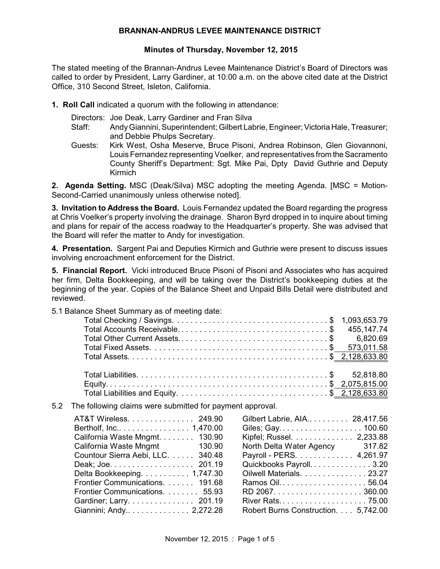#### **BRANNAN-ANDRUS LEVEE MAINTENANCE DISTRICT**

### **Minutes of Thursday, November 12, 2015**

The stated meeting of the Brannan-Andrus Levee Maintenance District's Board of Directors was called to order by President, Larry Gardiner, at 10:00 a.m. on the above cited date at the District Office, 310 Second Street, Isleton, California.

- **1. Roll Call** indicated a quorum with the following in attendance:
	- Directors: Joe Deak, Larry Gardiner and Fran Silva
	- Staff: Andy Giannini, Superintendent: Gilbert Labrie, Engineer; Victoria Hale, Treasurer; and Debbie Phulps Secretary.
	- Guests: Kirk West, Osha Meserve, Bruce Pisoni, Andrea Robinson, Glen Giovannoni, Louis Fernandez representing Voelker, and representatives from the Sacramento County Sheriff's Department: Sgt. Mike Pai, Dpty David Guthrie and Deputy Kirmich

**2. Agenda Setting.** MSC (Deak/Silva) MSC adopting the meeting Agenda. [MSC = Motion-Second-Carried unanimously unless otherwise noted].

**3. Invitation to Address the Board.** Louis Fernandez updated the Board regarding the progress at Chris Voelker's property involving the drainage. Sharon Byrd dropped in to inquire about timing and plans for repair of the access roadway to the Headquarter's property. She was advised that the Board will refer the matter to Andy for investigation.

**4. Presentation.** Sargent Pai and Deputies Kirmich and Guthrie were present to discuss issues involving encroachment enforcement for the District.

**5. Financial Report.** Vicki introduced Bruce Pisoni of Pisoni and Associates who has acquired her firm, Delta Bookkeeping, and will be taking over the District's bookkeeping duties at the beginning of the year. Copies of the Balance Sheet and Unpaid Bills Detail were distributed and reviewed.

5.1 Balance Sheet Summary as of meeting date:

5.2 The following claims were submitted for payment approval.

| Gilbert Labrie, AIA 28,417.56       |
|-------------------------------------|
|                                     |
| Kipfel; Russel. 2,233.88            |
| North Delta Water Agency 317.82     |
| Payroll - PERS. 4,261.97            |
| Quickbooks Payroll. 3.20            |
| Oilwell Materials. 23.27            |
| Ramos Oil56.04                      |
|                                     |
| River Rats 75.00                    |
| Robert Burns Construction. 5,742.00 |
|                                     |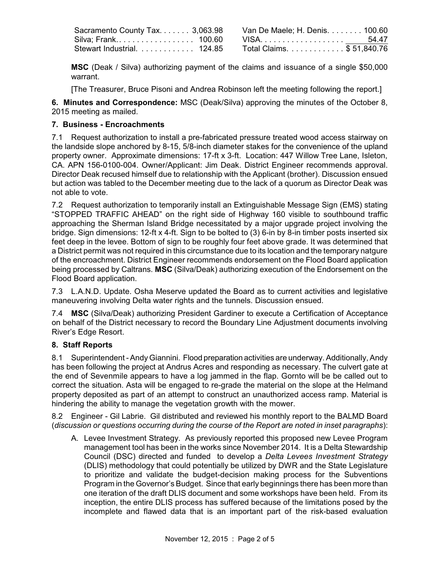| Sacramento County Tax. 3,063.98 | Van De Maele; H. Denis. 100.60 |  |
|---------------------------------|--------------------------------|--|
| Silva: Frank…………………… 100.60     |                                |  |
| Stewart Industrial. 124.85      | Total Claims. \$ 51,840.76     |  |

**MSC** (Deak / Silva) authorizing payment of the claims and issuance of a single \$50,000 warrant.

[The Treasurer, Bruce Pisoni and Andrea Robinson left the meeting following the report.]

**6. Minutes and Correspondence:** MSC (Deak/Silva) approving the minutes of the October 8, 2015 meeting as mailed.

# **7. Business - Encroachments**

7.1 Request authorization to install a pre-fabricated pressure treated wood access stairway on the landside slope anchored by 8-15, 5/8-inch diameter stakes for the convenience of the upland property owner. Approximate dimensions: 17-ft x 3-ft. Location: 447 Willow Tree Lane, Isleton, CA. APN 156-0100-004. Owner/Applicant: Jim Deak. District Engineer recommends approval. Director Deak recused himself due to relationship with the Applicant (brother). Discussion ensued but action was tabled to the December meeting due to the lack of a quorum as Director Deak was not able to vote.

7.2 Request authorization to temporarily install an Extinguishable Message Sign (EMS) stating "STOPPED TRAFFIC AHEAD" on the right side of Highway 160 visible to southbound traffic approaching the Sherman Island Bridge necessitated by a major upgrade project involving the bridge. Sign dimensions: 12-ft x 4-ft. Sign to be bolted to (3) 6-in by 8-in timber posts inserted six feet deep in the levee. Bottom of sign to be roughly four feet above grade. It was determined that a District permit was not required in this circumstance due to its location and the temporary natgure of the encroachment. District Engineer recommends endorsement on the Flood Board application being processed by Caltrans. **MSC** (Silva/Deak) authorizing execution of the Endorsement on the Flood Board application.

7.3 L.A.N.D. Update. Osha Meserve updated the Board as to current activities and legislative maneuvering involving Delta water rights and the tunnels. Discussion ensued.

7.4 **MSC** (Silva/Deak) authorizing President Gardiner to execute a Certification of Acceptance on behalf of the District necessary to record the Boundary Line Adjustment documents involving River's Edge Resort.

## **8. Staff Reports**

8.1 Superintendent -Andy Giannini. Flood preparation activities are underway. Additionally, Andy has been following the project at Andrus Acres and responding as necessary. The culvert gate at the end of Sevenmile appears to have a log jammed in the flap. Gornto will be be called out to correct the situation. Asta will be engaged to re-grade the material on the slope at the Helmand property deposited as part of an attempt to construct an unauthorized access ramp. Material is hindering the ability to manage the vegetation growth with the mower.

8.2 Engineer - Gil Labrie. Gil distributed and reviewed his monthly report to the BALMD Board (*discussion or questions occurring during the course of the Report are noted in inset paragraphs*):

A. Levee Investment Strategy. As previously reported this proposed new Levee Program management tool has been in the works since November 2014. It is a Delta Stewardship Council (DSC) directed and funded to develop a *Delta Levees Investment Strategy* (DLIS) methodology that could potentially be utilized by DWR and the State Legislature to prioritize and validate the budget-decision making process for the Subventions Program in the Governor's Budget. Since that early beginnings there has been more than one iteration of the draft DLIS document and some workshops have been held. From its inception, the entire DLIS process has suffered because of the limitations posed by the incomplete and flawed data that is an important part of the risk-based evaluation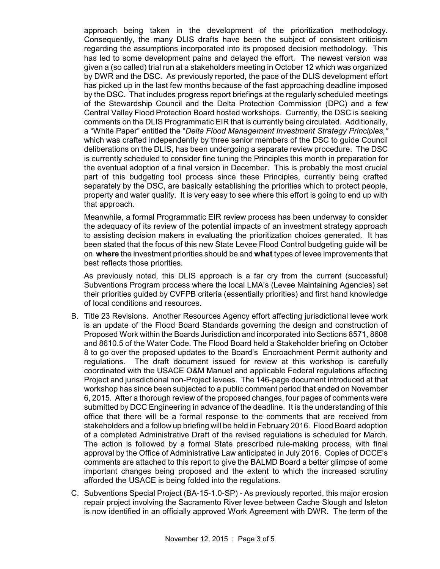approach being taken in the development of the prioritization methodology. Consequently, the many DLIS drafts have been the subject of consistent criticism regarding the assumptions incorporated into its proposed decision methodology. This has led to some development pains and delayed the effort. The newest version was given a (so called) trial run at a stakeholders meeting in October 12 which was organized by DWR and the DSC. As previously reported, the pace of the DLIS development effort has picked up in the last few months because of the fast approaching deadline imposed by the DSC. That includes progress report briefings at the regularly scheduled meetings of the Stewardship Council and the Delta Protection Commission (DPC) and a few Central Valley Flood Protection Board hosted workshops. Currently, the DSC is seeking comments on the DLIS Programmatic EIR that is currently being circulated. Additionally, a "White Paper" entitled the "*Delta Flood Management Investment Strategy Principles,"* which was crafted independently by three senior members of the DSC to guide Council deliberations on the DLIS, has been undergoing a separate review procedure. The DSC is currently scheduled to consider fine tuning the Principles this month in preparation for the eventual adoption of a final version in December. This is probably the most crucial part of this budgeting tool process since these Principles, currently being crafted separately by the DSC, are basically establishing the priorities which to protect people, property and water quality. It is very easy to see where this effort is going to end up with that approach.

Meanwhile, a formal Programmatic EIR review process has been underway to consider the adequacy of its review of the potential impacts of an investment strategy approach to assisting decision makers in evaluating the prioritization choices generated. It has been stated that the focus of this new State Levee Flood Control budgeting guide will be on **where** the investment priorities should be and **what** types of levee improvements that best reflects those priorities.

As previously noted, this DLIS approach is a far cry from the current (successful) Subventions Program process where the local LMA's (Levee Maintaining Agencies) set their priorities guided by CVFPB criteria (essentially priorities) and first hand knowledge of local conditions and resources.

- B. Title 23 Revisions. Another Resources Agency effort affecting jurisdictional levee work is an update of the Flood Board Standards governing the design and construction of Proposed Work within the Boards Jurisdiction and incorporated into Sections 8571, 8608 and 8610.5 of the Water Code. The Flood Board held a Stakeholder briefing on October 8 to go over the proposed updates to the Board's Encroachment Permit authority and regulations. The draft document issued for review at this workshop is carefully coordinated with the USACE O&M Manuel and applicable Federal regulations affecting Project and jurisdictional non-Project levees. The 146-page document introduced at that workshop has since been subjected to a public comment period that ended on November 6, 2015. After a thorough review of the proposed changes, four pages of comments were submitted by DCC Engineering in advance of the deadline. It is the understanding of this office that there will be a formal response to the comments that are received from stakeholders and a follow up briefing will be held in February 2016. Flood Board adoption of a completed Administrative Draft of the revised regulations is scheduled for March. The action is followed by a formal State prescribed rule-making process, with final approval by the Office of Administrative Law anticipated in July 2016. Copies of DCCE's comments are attached to this report to give the BALMD Board a better glimpse of some important changes being proposed and the extent to which the increased scrutiny afforded the USACE is being folded into the regulations.
- C. Subventions Special Project (BA-15-1.0-SP) As previously reported, this major erosion repair project involving the Sacramento River levee between Cache Slough and Isleton is now identified in an officially approved Work Agreement with DWR. The term of the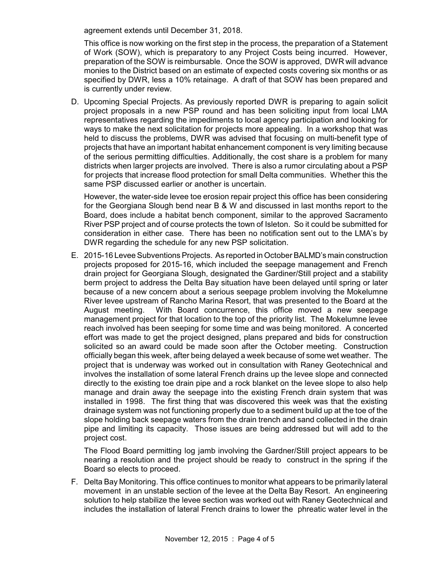agreement extends until December 31, 2018.

This office is now working on the first step in the process, the preparation of a Statement of Work (SOW), which is preparatory to any Project Costs being incurred. However, preparation of the SOW is reimbursable. Once the SOW is approved, DWR will advance monies to the District based on an estimate of expected costs covering six months or as specified by DWR, less a 10% retainage. A draft of that SOW has been prepared and is currently under review.

D. Upcoming Special Projects. As previously reported DWR is preparing to again solicit project proposals in a new PSP round and has been soliciting input from local LMA representatives regarding the impediments to local agency participation and looking for ways to make the next solicitation for projects more appealing. In a workshop that was held to discuss the problems, DWR was advised that focusing on multi-benefit type of projects that have an important habitat enhancement component is very limiting because of the serious permitting difficulties. Additionally, the cost share is a problem for many districts when larger projects are involved. There is also a rumor circulating about a PSP for projects that increase flood protection for small Delta communities. Whether this the same PSP discussed earlier or another is uncertain.

However, the water-side levee toe erosion repair project this office has been considering for the Georgiana Slough bend near B & W and discussed in last months report to the Board, does include a habitat bench component, similar to the approved Sacramento River PSP project and of course protects the town of Isleton. So it could be submitted for consideration in either case. There has been no notification sent out to the LMA's by DWR regarding the schedule for any new PSP solicitation.

E. 2015-16 Levee Subventions Projects. As reported in October BALMD's main construction projects proposed for 2015-16, which included the seepage management and French drain project for Georgiana Slough, designated the Gardiner/Still project and a stability berm project to address the Delta Bay situation have been delayed until spring or later because of a new concern about a serious seepage problem involving the Mokelumne River levee upstream of Rancho Marina Resort, that was presented to the Board at the August meeting. With Board concurrence, this office moved a new seepage management project for that location to the top of the priority list. The Mokelumne levee reach involved has been seeping for some time and was being monitored. A concerted effort was made to get the project designed, plans prepared and bids for construction solicited so an award could be made soon after the October meeting. Construction officially began this week, after being delayed a week because of some wet weather. The project that is underway was worked out in consultation with Raney Geotechnical and involves the installation of some lateral French drains up the levee slope and connected directly to the existing toe drain pipe and a rock blanket on the levee slope to also help manage and drain away the seepage into the existing French drain system that was installed in 1998. The first thing that was discovered this week was that the existing drainage system was not functioning properly due to a sediment build up at the toe of the slope holding back seepage waters from the drain trench and sand collected in the drain pipe and limiting its capacity. Those issues are being addressed but will add to the project cost.

The Flood Board permitting log jamb involving the Gardner/Still project appears to be nearing a resolution and the project should be ready to construct in the spring if the Board so elects to proceed.

F. Delta Bay Monitoring. This office continues to monitor what appears to be primarily lateral movement in an unstable section of the levee at the Delta Bay Resort. An engineering solution to help stabilize the levee section was worked out with Raney Geotechnical and includes the installation of lateral French drains to lower the phreatic water level in the